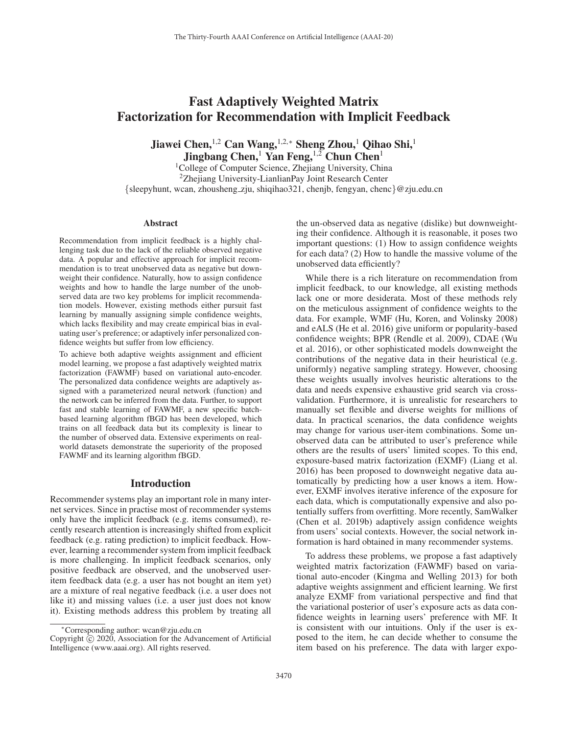# Fast Adaptively Weighted Matrix Factorization for Recommendation with Implicit Feedback

Jiawei Chen,1,2 Can Wang,1,2,<sup>∗</sup> Sheng Zhou,<sup>1</sup> Qihao Shi,<sup>1</sup> Jingbang Chen,<sup>1</sup> Yan Feng,<sup>1,2</sup> Chun Chen<sup>1</sup>

<sup>1</sup>College of Computer Science, Zhejiang University, China <sup>2</sup>Zhejiang University-LianlianPay Joint Research Center {sleepyhunt, wcan, zhousheng zju, shiqihao321, chenjb, fengyan, chenc}@zju.edu.cn

#### Abstract

Recommendation from implicit feedback is a highly challenging task due to the lack of the reliable observed negative data. A popular and effective approach for implicit recommendation is to treat unobserved data as negative but downweight their confidence. Naturally, how to assign confidence weights and how to handle the large number of the unobserved data are two key problems for implicit recommendation models. However, existing methods either pursuit fast learning by manually assigning simple confidence weights, which lacks flexibility and may create empirical bias in evaluating user's preference; or adaptively infer personalized confidence weights but suffer from low efficiency.

To achieve both adaptive weights assignment and efficient model learning, we propose a fast adaptively weighted matrix factorization (FAWMF) based on variational auto-encoder. The personalized data confidence weights are adaptively assigned with a parameterized neural network (function) and the network can be inferred from the data. Further, to support fast and stable learning of FAWMF, a new specific batchbased learning algorithm fBGD has been developed, which trains on all feedback data but its complexity is linear to the number of observed data. Extensive experiments on realworld datasets demonstrate the superiority of the proposed FAWMF and its learning algorithm fBGD.

#### Introduction

Recommender systems play an important role in many internet services. Since in practise most of recommender systems only have the implicit feedback (e.g. items consumed), recently research attention is increasingly shifted from explicit feedback (e.g. rating prediction) to implicit feedback. However, learning a recommender system from implicit feedback is more challenging. In implicit feedback scenarios, only positive feedback are observed, and the unobserved useritem feedback data (e.g. a user has not bought an item yet) are a mixture of real negative feedback (i.e. a user does not like it) and missing values (i.e. a user just does not know it). Existing methods address this problem by treating all

the un-observed data as negative (dislike) but downweighting their confidence. Although it is reasonable, it poses two important questions: (1) How to assign confidence weights for each data? (2) How to handle the massive volume of the unobserved data efficiently?

While there is a rich literature on recommendation from implicit feedback, to our knowledge, all existing methods lack one or more desiderata. Most of these methods rely on the meticulous assignment of confidence weights to the data. For example, WMF (Hu, Koren, and Volinsky 2008) and eALS (He et al. 2016) give uniform or popularity-based confidence weights; BPR (Rendle et al. 2009), CDAE (Wu et al. 2016), or other sophisticated models downweight the contributions of the negative data in their heuristical (e.g. uniformly) negative sampling strategy. However, choosing these weights usually involves heuristic alterations to the data and needs expensive exhaustive grid search via crossvalidation. Furthermore, it is unrealistic for researchers to manually set flexible and diverse weights for millions of data. In practical scenarios, the data confidence weights may change for various user-item combinations. Some unobserved data can be attributed to user's preference while others are the results of users' limited scopes. To this end, exposure-based matrix factorization (EXMF) (Liang et al. 2016) has been proposed to downweight negative data automatically by predicting how a user knows a item. However, EXMF involves iterative inference of the exposure for each data, which is computationally expensive and also potentially suffers from overfitting. More recently, SamWalker (Chen et al. 2019b) adaptively assign confidence weights from users' social contexts. However, the social network information is hard obtained in many recommender systems.

To address these problems, we propose a fast adaptively weighted matrix factorization (FAWMF) based on variational auto-encoder (Kingma and Welling 2013) for both adaptive weights assignment and efficient learning. We first analyze EXMF from variational perspective and find that the variational posterior of user's exposure acts as data confidence weights in learning users' preference with MF. It is consistent with our intuitions. Only if the user is exposed to the item, he can decide whether to consume the item based on his preference. The data with larger expo-

<sup>∗</sup>Corresponding author: wcan@zju.edu.cn

Copyright  $\odot$  2020, Association for the Advancement of Artificial Intelligence (www.aaai.org). All rights reserved.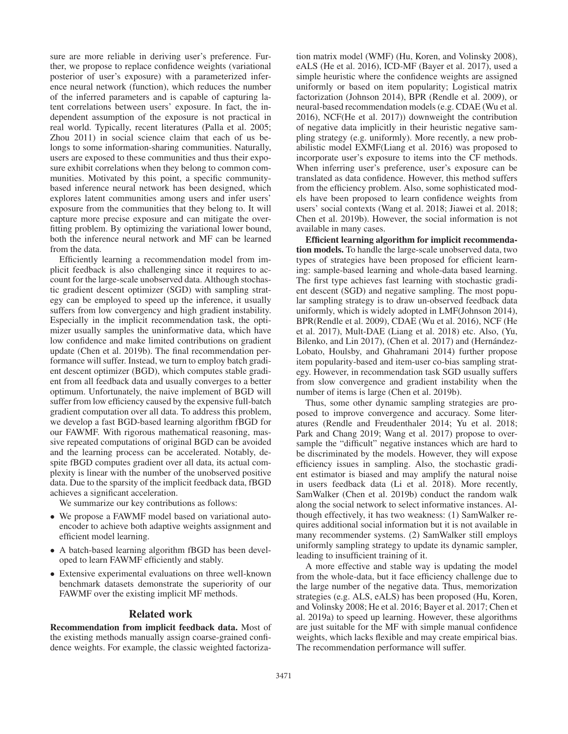sure are more reliable in deriving user's preference. Further, we propose to replace confidence weights (variational posterior of user's exposure) with a parameterized inference neural network (function), which reduces the number of the inferred parameters and is capable of capturing latent correlations between users' exposure. In fact, the independent assumption of the exposure is not practical in real world. Typically, recent literatures (Palla et al. 2005; Zhou 2011) in social science claim that each of us belongs to some information-sharing communities. Naturally, users are exposed to these communities and thus their exposure exhibit correlations when they belong to common communities. Motivated by this point, a specific communitybased inference neural network has been designed, which explores latent communities among users and infer users' exposure from the communities that they belong to. It will capture more precise exposure and can mitigate the overfitting problem. By optimizing the variational lower bound, both the inference neural network and MF can be learned from the data.

Efficiently learning a recommendation model from implicit feedback is also challenging since it requires to account for the large-scale unobserved data. Although stochastic gradient descent optimizer (SGD) with sampling strategy can be employed to speed up the inference, it usually suffers from low convergency and high gradient instability. Especially in the implicit recommendation task, the optimizer usually samples the uninformative data, which have low confidence and make limited contributions on gradient update (Chen et al. 2019b). The final recommendation performance will suffer. Instead, we turn to employ batch gradient descent optimizer (BGD), which computes stable gradient from all feedback data and usually converges to a better optimum. Unfortunately, the naive implement of BGD will suffer from low efficiency caused by the expensive full-batch gradient computation over all data. To address this problem, we develop a fast BGD-based learning algorithm fBGD for our FAWMF. With rigorous mathematical reasoning, massive repeated computations of original BGD can be avoided and the learning process can be accelerated. Notably, despite fBGD computes gradient over all data, its actual complexity is linear with the number of the unobserved positive data. Due to the sparsity of the implicit feedback data, fBGD achieves a significant acceleration.

We summarize our key contributions as follows:

- We propose a FAWMF model based on variational autoencoder to achieve both adaptive weights assignment and efficient model learning.
- A batch-based learning algorithm fBGD has been developed to learn FAWMF efficiently and stably.
- Extensive experimental evaluations on three well-known benchmark datasets demonstrate the superiority of our FAWMF over the existing implicit MF methods.

# Related work

Recommendation from implicit feedback data. Most of the existing methods manually assign coarse-grained confidence weights. For example, the classic weighted factoriza-

tion matrix model (WMF) (Hu, Koren, and Volinsky 2008), eALS (He et al. 2016), ICD-MF (Bayer et al. 2017), used a simple heuristic where the confidence weights are assigned uniformly or based on item popularity; Logistical matrix factorization (Johnson 2014), BPR (Rendle et al. 2009), or neural-based recommendation models (e.g. CDAE (Wu et al. 2016), NCF(He et al. 2017)) downweight the contribution of negative data implicitly in their heuristic negative sampling strategy (e.g. uniformly). More recently, a new probabilistic model EXMF(Liang et al. 2016) was proposed to incorporate user's exposure to items into the CF methods. When inferring user's preference, user's exposure can be translated as data confidence. However, this method suffers from the efficiency problem. Also, some sophisticated models have been proposed to learn confidence weights from users' social contexts (Wang et al. 2018; Jiawei et al. 2018; Chen et al. 2019b). However, the social information is not available in many cases.

Efficient learning algorithm for implicit recommendation models. To handle the large-scale unobserved data, two types of strategies have been proposed for efficient learning: sample-based learning and whole-data based learning. The first type achieves fast learning with stochastic gradient descent (SGD) and negative sampling. The most popular sampling strategy is to draw un-observed feedback data uniformly, which is widely adopted in LMF(Johnson 2014), BPR(Rendle et al. 2009), CDAE (Wu et al. 2016), NCF (He et al. 2017), Mult-DAE (Liang et al. 2018) etc. Also, (Yu, Bilenko, and Lin 2017), (Chen et al. 2017) and (Hernández-Lobato, Houlsby, and Ghahramani 2014) further propose item popularity-based and item-user co-bias sampling strategy. However, in recommendation task SGD usually suffers from slow convergence and gradient instability when the number of items is large (Chen et al. 2019b).

Thus, some other dynamic sampling strategies are proposed to improve convergence and accuracy. Some literatures (Rendle and Freudenthaler 2014; Yu et al. 2018; Park and Chang 2019; Wang et al. 2017) propose to oversample the "difficult" negative instances which are hard to be discriminated by the models. However, they will expose efficiency issues in sampling. Also, the stochastic gradient estimator is biased and may amplify the natural noise in users feedback data (Li et al. 2018). More recently, SamWalker (Chen et al. 2019b) conduct the random walk along the social network to select informative instances. Although effectively, it has two weakness: (1) SamWalker requires additional social information but it is not available in many recommender systems. (2) SamWalker still employs uniformly sampling strategy to update its dynamic sampler, leading to insufficient training of it.

A more effective and stable way is updating the model from the whole-data, but it face efficiency challenge due to the large number of the negative data. Thus, memorization strategies (e.g. ALS, eALS) has been proposed (Hu, Koren, and Volinsky 2008; He et al. 2016; Bayer et al. 2017; Chen et al. 2019a) to speed up learning. However, these algorithms are just suitable for the MF with simple manual confidence weights, which lacks flexible and may create empirical bias. The recommendation performance will suffer.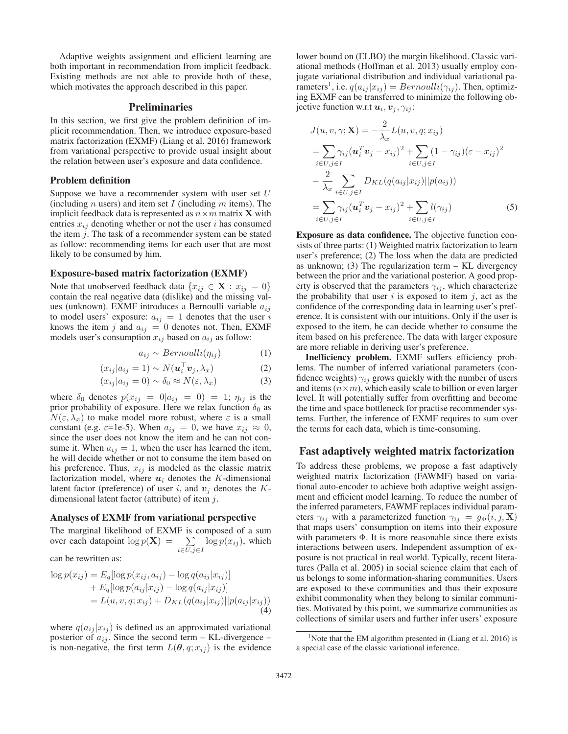Adaptive weights assignment and efficient learning are both important in recommendation from implicit feedback. Existing methods are not able to provide both of these, which motivates the approach described in this paper.

## Preliminaries

In this section, we first give the problem definition of implicit recommendation. Then, we introduce exposure-based matrix factorization (EXMF) (Liang et al. 2016) framework from variational perspective to provide usual insight about the relation between user's exposure and data confidence.

#### Problem definition

Suppose we have a recommender system with user set  $U$ (including  $n$  users) and item set  $I$  (including  $m$  items). The implicit feedback data is represented as  $n \times m$  matrix **X** with entries  $x_{ij}$  denoting whether or not the user i has consumed the item  $j$ . The task of a recommender system can be stated as follow: recommending items for each user that are most likely to be consumed by him.

## Exposure-based matrix factorization (EXMF)

Note that unobserved feedback data  $\{x_{ij} \in \mathbf{X} : x_{ij} = 0\}$ contain the real negative data (dislike) and the missing values (unknown). EXMF introduces a Bernoulli variable  $a_{ij}$ <br>to model users' exposure:  $a_{ij} = 1$  denotes that the user i to model users' exposure:  $a_{ij} = 1$  denotes that the user is<br>knows the item i and  $a_{ij} = 0$  denotes not. Then EXME knows the item j and  $a_{ij} = 0$  denotes not. Then, EXMF models user's consumption  $x_{ij}$  based on  $a_{ij}$  as follow: models user's consumption  $x_{ij}$  based on  $a_{ij}$  as follow:

$$
a_{ij} \sim Bernoulli(\eta_{ij})
$$
 (1)

$$
(x_{ij}|a_{ij} = 1) \sim N(\mathbf{u}_i^{\top} \mathbf{v}_j, \lambda_x)
$$
 (2)

$$
(x_{ij}|a_{ij}=0) \sim \delta_0 \approx N(\varepsilon, \lambda_x)
$$
 (3)

where  $\delta_0$  denotes  $p(x_{ij} = 0|a_{ij} = 0) = 1$ ;  $\eta_{ij}$  is the prior probability of exposure. Here we relax function  $\delta_0$  as  $N(\varepsilon, \lambda_x)$  to make model more robust, where  $\varepsilon$  is a small constant (e.g.  $\varepsilon$ =1e-5). When  $a_{ij} = 0$ , we have  $x_{ij} \approx 0$ , since the user does not know the item and he can not consume it. When  $a_{ij} = 1$ , when the user has learned the item, he will decide whether or not to consume the item based on his preference. Thus,  $x_{ij}$  is modeled as the classic matrix factorization model, where  $u_i$  denotes the K-dimensional latent factor (preference) of user i, and  $v_j$  denotes the Kdimensional latent factor (attribute) of item  $j$ .

# Analyses of EXMF from variational perspective

The marginal likelihood of EXMF is composed of a sum over each datapoint  $\log p(\mathbf{X}) = \sum_{i \in U, j}$  $\sum_{i \in U, j \in I} \log p(x_{ij}),$  which

can be rewritten as:

$$
\log p(x_{ij}) = E_q[\log p(x_{ij}, a_{ij}) - \log q(a_{ij}|x_{ij})] + E_q[\log p(a_{ij}|x_{ij}) - \log q(a_{ij}|x_{ij})] = L(u, v, q; x_{ij}) + D_{KL}(q(a_{ij}|x_{ij})||p(a_{ij}|x_{ij}))
$$
\n(4)

where  $q(a_{ij} | x_{ij})$  is defined as an approximated variational posterior of  $a_{ij}$ . Since the second term – KL-divergence – is non-negative, the first term  $L(\theta, q; x_{ij})$  is the evidence lower bound on (ELBO) the margin likelihood. Classic variational methods (Hoffman et al. 2013) usually employ conjugate variational distribution and individual variational parameters<sup>1</sup>, i.e.  $q(a_{ij} | x_{ij}) = Bernoulli(\gamma_{ij})$ . Then, optimizing EXMF can be transferred to minimize the following objective function w.r.t  $u_i, v_j, \gamma_{ij}$ :

$$
J(u, v, \gamma; \mathbf{X}) = -\frac{2}{\lambda_x} L(u, v, q; x_{ij})
$$
  
\n
$$
= \sum_{i \in U, j \in I} \gamma_{ij} (\mathbf{u}_i^T \mathbf{v}_j - x_{ij})^2 + \sum_{i \in U, j \in I} (1 - \gamma_{ij})(\varepsilon - x_{ij})^2
$$
  
\n
$$
- \frac{2}{\lambda_x} \sum_{i \in U, j \in I} D_{KL}(q(a_{ij}|x_{ij})||p(a_{ij}))
$$
  
\n
$$
= \sum_{i \in U, j \in I} \gamma_{ij} (\mathbf{u}_i^T \mathbf{v}_j - x_{ij})^2 + \sum_{i \in U, j \in I} l(\gamma_{ij})
$$
(5)

Exposure as data confidence. The objective function consists of three parts: (1) Weighted matrix factorization to learn user's preference; (2) The loss when the data are predicted as unknown; (3) The regularization term  $- KL$  divergency between the prior and the variational posterior. A good property is observed that the parameters  $\gamma_{ij}$ , which characterize the probability that user  $i$  is exposed to item  $j$ , act as the confidence of the corresponding data in learning user's preference. It is consistent with our intuitions. Only if the user is exposed to the item, he can decide whether to consume the item based on his preference. The data with larger exposure are more reliable in deriving user's preference.

Inefficiency problem. EXMF suffers efficiency problems. The number of inferred variational parameters (confidence weights)  $\gamma_{ij}$  grows quickly with the number of users and items  $(n \times m)$ , which easily scale to billion or even larger level. It will potentially suffer from overfitting and become the time and space bottleneck for practise recommender systems. Further, the inference of EXMF requires to sum over the terms for each data, which is time-consuming.

# Fast adaptively weighted matrix factorization

To address these problems, we propose a fast adaptively weighted matrix factorization (FAWMF) based on variational auto-encoder to achieve both adaptive weight assignment and efficient model learning. To reduce the number of the inferred parameters, FAWMF replaces individual parameters  $\gamma_{ij}$  with a parameterized function  $\gamma_{ij} = g_{\Phi}(i, j, \mathbf{X})$ that maps users' consumption on items into their exposure with parameters  $\Phi$ . It is more reasonable since there exists interactions between users. Independent assumption of exposure is not practical in real world. Typically, recent literatures (Palla et al. 2005) in social science claim that each of us belongs to some information-sharing communities. Users are exposed to these communities and thus their exposure exhibit commonality when they belong to similar communities. Motivated by this point, we summarize communities as collections of similar users and further infer users' exposure

<sup>&</sup>lt;sup>1</sup>Note that the EM algorithm presented in (Liang et al. 2016) is a special case of the classic variational inference.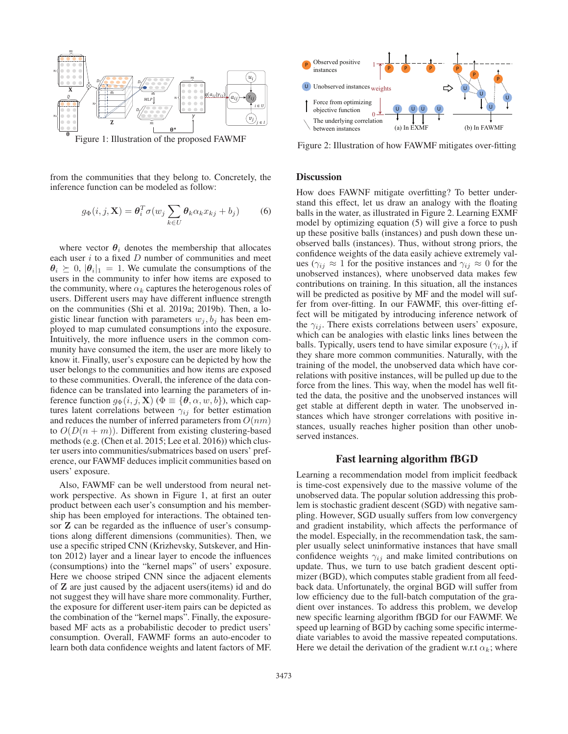

Figure 1: Illustration of the proposed FAWMF

from the communities that they belong to. Concretely, the inference function can be modeled as follow:

$$
g_{\Phi}(i, j, \mathbf{X}) = \boldsymbol{\theta}_i^T \sigma(w_j \sum_{k \in U} \boldsymbol{\theta}_k \alpha_k x_{kj} + b_j)
$$
 (6)

where vector  $\theta_i$  denotes the membership that allocates each user  $i$  to a fixed  $D$  number of communities and meet  $\theta_i \succeq 0$ ,  $|\theta_i|_1 = 1$ . We cumulate the consumptions of the users in the community to infer how items are exposed to the community, where  $\alpha_k$  captures the heterogenous roles of users. Different users may have different influence strength on the communities (Shi et al. 2019a; 2019b). Then, a logistic linear function with parameters  $w_j, b_j$  has been employed to map cumulated consumptions into the exposure. Intuitively, the more influence users in the common community have consumed the item, the user are more likely to know it. Finally, user's exposure can be depicted by how the user belongs to the communities and how items are exposed to these communities. Overall, the inference of the data confidence can be translated into learning the parameters of inference function  $g_{\Phi}(i, j, \mathbf{X})$  ( $\Phi \equiv {\theta, \alpha, w, b}$ ), which captures latent correlations between  $\gamma_{ij}$  for better estimation and reduces the number of inferred parameters from  $O(nm)$ to  $O(D(n + m))$ . Different from existing clustering-based methods (e.g. (Chen et al. 2015; Lee et al. 2016)) which cluster users into communities/submatrices based on users' preference, our FAWMF deduces implicit communities based on users' exposure.

Also, FAWMF can be well understood from neural network perspective. As shown in Figure 1, at first an outer product between each user's consumption and his membership has been employed for interactions. The obtained tensor **Z** can be regarded as the influence of user's consumptions along different dimensions (communities). Then, we use a specific striped CNN (Krizhevsky, Sutskever, and Hinton 2012) layer and a linear layer to encode the influences (consumptions) into the "kernel maps" of users' exposure. Here we choose striped CNN since the adjacent elements of **Z** are just caused by the adjacent users(items) id and do not suggest they will have share more commonality. Further, the exposure for different user-item pairs can be depicted as the combination of the "kernel maps". Finally, the exposurebased MF acts as a probabilistic decoder to predict users' consumption. Overall, FAWMF forms an auto-encoder to learn both data confidence weights and latent factors of MF.



Figure 2: Illustration of how FAWMF mitigates over-fitting

#### **Discussion**

How does FAWNF mitigate overfitting? To better understand this effect, let us draw an analogy with the floating balls in the water, as illustrated in Figure 2. Learning EXMF model by optimizing equation (5) will give a force to push up these positive balls (instances) and push down these unobserved balls (instances). Thus, without strong priors, the confidence weights of the data easily achieve extremely values ( $\gamma_{ij} \approx 1$  for the positive instances and  $\gamma_{ij} \approx 0$  for the unobserved instances), where unobserved data makes few contributions on training. In this situation, all the instances will be predicted as positive by MF and the model will suffer from over-fitting. In our FAWMF, this over-fitting effect will be mitigated by introducing inference network of the  $\gamma_{ij}$ . There exists correlations between users' exposure, which can be analogies with elastic links lines between the balls. Typically, users tend to have similar exposure  $(\gamma_{ij})$ , if they share more common communities. Naturally, with the training of the model, the unobserved data which have correlations with positive instances, will be pulled up due to the force from the lines. This way, when the model has well fitted the data, the positive and the unobserved instances will get stable at different depth in water. The unobserved instances which have stronger correlations with positive instances, usually reaches higher position than other unobserved instances.

# Fast learning algorithm fBGD

Learning a recommendation model from implicit feedback is time-cost expensively due to the massive volume of the unobserved data. The popular solution addressing this problem is stochastic gradient descent (SGD) with negative sampling. However, SGD usually suffers from low convergency and gradient instability, which affects the performance of the model. Especially, in the recommendation task, the sampler usually select uninformative instances that have small confidence weights  $\gamma_{ij}$  and make limited contributions on update. Thus, we turn to use batch gradient descent optimizer (BGD), which computes stable gradient from all feedback data. Unfortunately, the orginal BGD will suffer from low efficiency due to the full-batch computation of the gradient over instances. To address this problem, we develop new specific learning algorithm fBGD for our FAWMF. We speed up learning of BGD by caching some specific intermediate variables to avoid the massive repeated computations. Here we detail the derivation of the gradient w.r.t  $\alpha_k$ ; where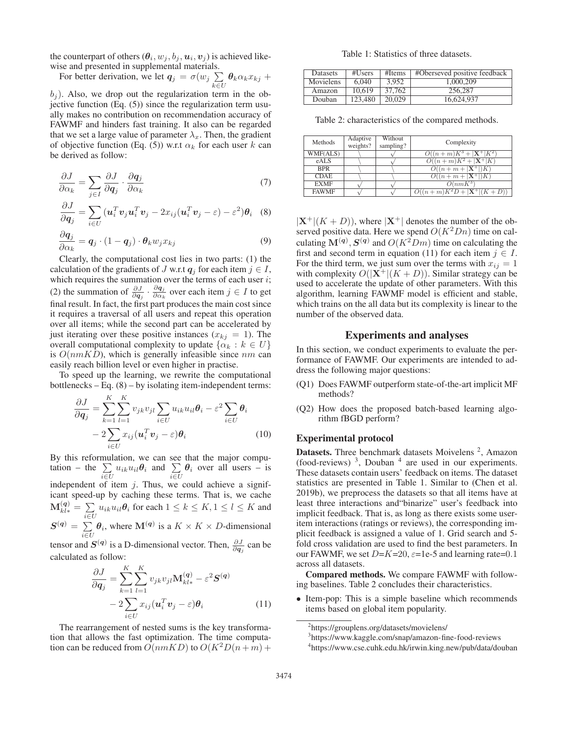the counterpart of others  $(\theta_i, w_j, b_j, u_i, v_j)$  is achieved like-<br>wise and presented in supplemental materials.

For better derivation, we let  $q_j = \sigma(w_j) \sum_{k \in \mathcal{L}}$  $\sum_{k\in U}\theta_k \alpha_k x_{kj} +$ 

 $b_i$ ). Also, we drop out the regularization term in the objective function  $(Eq. (5))$  since the regularization term usually makes no contribution on recommendation accuracy of FAWMF and hinders fast training. It also can be regarded that we set a large value of parameter  $\lambda_x$ . Then, the gradient of objective function (Eq. (5)) w.r.t  $\alpha_k$  for each user k can be derived as follow:

$$
\frac{\partial J}{\partial \alpha_k} = \sum_{j \in I} \frac{\partial J}{\partial q_j} \cdot \frac{\partial q_j}{\partial \alpha_k} \tag{7}
$$

$$
\frac{\partial J}{\partial \mathbf{q}_j} = \sum_{i \in U} (\mathbf{u}_i^T \mathbf{v}_j \mathbf{u}_i^T \mathbf{v}_j - 2x_{ij} (\mathbf{u}_i^T \mathbf{v}_j - \varepsilon) - \varepsilon^2) \boldsymbol{\theta}_i \quad (8)
$$

$$
\frac{\partial \mathbf{q}_j}{\partial \alpha_k} = \mathbf{q}_j \cdot (1 - \mathbf{q}_j) \cdot \boldsymbol{\theta}_k w_j x_{kj} \tag{9}
$$

 $\alpha_k$ <br>Clearly, the computational cost lies in two parts: (1) the calculation of the gradients of J w.r.t  $q_j$  for each item  $j \in I$ , which requires the summation over the terms of each user  $i$ ; (2) the summation of  $\frac{\partial J}{\partial q_j} \cdot \frac{\partial q_j}{\partial \alpha k}$  over each item  $j \in I$  to get final result. In feat, the first part produces the main sect since final result. In fact, the first part produces the main cost since it requires a traversal of all users and repeat this operation over all items; while the second part can be accelerated by just iterating over these positive instances  $(x_{kj} = 1)$ . The overall computational complexity to update  $\{\alpha_k : k \in U\}$ is  $O(nmKD)$ , which is generally infeasible since  $nm$  can easily reach billion level or even higher in practise.

To speed up the learning, we rewrite the computational bottlenecks  $-$  Eq.  $(8)$   $-$  by isolating item-independent terms:

$$
\frac{\partial J}{\partial q_j} = \sum_{k=1}^K \sum_{l=1}^K v_{jk} v_{jl} \sum_{i \in U} u_{ik} u_{il} \theta_i - \varepsilon^2 \sum_{i \in U} \theta_i
$$
  
- 2 $\sum_{i \in U} x_{ij} (u_i^T v_j - \varepsilon) \theta_i$  (10)

By this reformulation, we can see that the major computation – the  $\Sigma$  $\sum_{i \in U} u_{ik} u_{il} \theta_i$  and  $\sum_{i \in U}$ i∈U  $\theta_i$  over all users – is independent of item  $j$ . Thus, we could achieve a significant speed-up by caching these terms. That is, we cache  $\mathbf{M}^{(\boldsymbol{q})}_{kl\ast}=\sum\limits_{i\in L}% ^{l}\left( \mathbf{M}_{l}\right) ^{l}\left( \mathbf{M}_{l}\right) ^{i}$  $\sum_{i \in U} u_{ik} u_{il} \theta_i$  for each  $1 \le k \le K, 1 \le l \le K$  and  $\boldsymbol{S^{(q)}} = \sum\limits_{i \in U}$  $\sum_{i \in U} \theta_i$ , where **M**<sup>(*q*)</sup> is a  $K \times K \times D$ -dimensional tensor and  $S^{(q)}$  is a D-dimensional vector. Then,  $\frac{\partial J}{\partial q_j}$  can be

calculated as follow:

$$
\frac{\partial J}{\partial q_j} = \sum_{k=1}^{K} \sum_{l=1}^{K} v_{jk} v_{jl} \mathbf{M}_{kl*}^{(q)} - \varepsilon^2 \mathbf{S}^{(q)}
$$

$$
- 2 \sum_{i \in U} x_{ij} (\mathbf{u}_i^T \mathbf{v}_j - \varepsilon) \theta_i
$$
(11)

The rearrangement of nested sums is the key transformation that allows the fast optimization. The time computation can be reduced from  $\tilde{O}(nmKD)$  to  $O(K^2D(n+m) +$ 

Table 1: Statistics of three datasets.

| <b>Datasets</b> | #Users  | #Items | #Oberseved positive feedback |
|-----------------|---------|--------|------------------------------|
| Movielens       | 6.040   | 3.952  | 1,000,209                    |
| Amazon          | 10.619  | 37,762 | 256,287                      |
| Douban          | 123.480 | 20,029 | 16.624.937                   |

Table 2: characteristics of the compared methods.

| Methods      | Adaptive<br>weights? | Without<br>sampling? | Complexity                           |
|--------------|----------------------|----------------------|--------------------------------------|
| WMF(ALS)     |                      |                      | $O((n+m)K^3 +  \mathbf{X}^+ K^2)$    |
| eALS         |                      |                      | $O((n+m)K^2+ \mathbf{X}^+ K)$        |
| <b>BPR</b>   |                      |                      | $O((n+m+ \mathbf{X}^{\pm} )K)$       |
| <b>CDAE</b>  |                      |                      | $O((n + m +  X^+ )K)$                |
| <b>EXMF</b>  |                      |                      | $O(nmK^3)$                           |
| <b>FAWMF</b> |                      |                      | $O((n+m)K^2D +  \mathbf{X}^+ (K+D))$ |

 $|\mathbf{X}^+|$ (K + D)), where  $|\mathbf{X}^+|$  denotes the number of the observed positive data. Here we spend  $O(K^2Dn)$  time on calculating  $\mathbf{M}^{(q)}$ ,  $\mathbf{S}^{(q)}$  and  $O(K^2 Dm)$  time on calculating the first and second term in equation (11) for each item  $i \in I$ first and second term in equation (11) for each item  $j \in I$ . For the third term, we just sum over the terms with  $x_{ij} = 1$ with complexity  $O(|\mathbf{X}^+|(K+D))$ . Similar strategy can be used to accelerate the update of other parameters. With this algorithm, learning FAWMF model is efficient and stable, which trains on the all data but its complexity is linear to the number of the observed data.

# Experiments and analyses

In this section, we conduct experiments to evaluate the performance of FAWMF. Our experiments are intended to address the following major questions:

- (Q1) Does FAWMF outperform state-of-the-art implicit MF methods?
- (Q2) How does the proposed batch-based learning algorithm fBGD perform?

#### Experimental protocol

Datasets. Three benchmark datasets Moivelens<sup>2</sup>, Amazon (food-reviews)  $3$ , Douban  $4$  are used in our experiments. These datasets contain users' feedback on items. The dataset statistics are presented in Table 1. Similar to (Chen et al. 2019b), we preprocess the datasets so that all items have at least three interactions and"binarize" user's feedback into implicit feedback. That is, as long as there exists some useritem interactions (ratings or reviews), the corresponding implicit feedback is assigned a value of 1. Grid search and 5 fold cross validation are used to find the best parameters. In our FAWMF, we set  $D=K=20$ ,  $\varepsilon=1e-5$  and learning rate=0.1 across all datasets.

Compared methods. We compare FAWMF with following baselines. Table 2 concludes their characteristics.

• Item-pop: This is a simple baseline which recommends items based on global item popularity.

<sup>2</sup> https://grouplens.org/datasets/movielens/

<sup>3</sup> https://www.kaggle.com/snap/amazon-fine-food-reviews

<sup>4</sup> https://www.cse.cuhk.edu.hk/irwin.king.new/pub/data/douban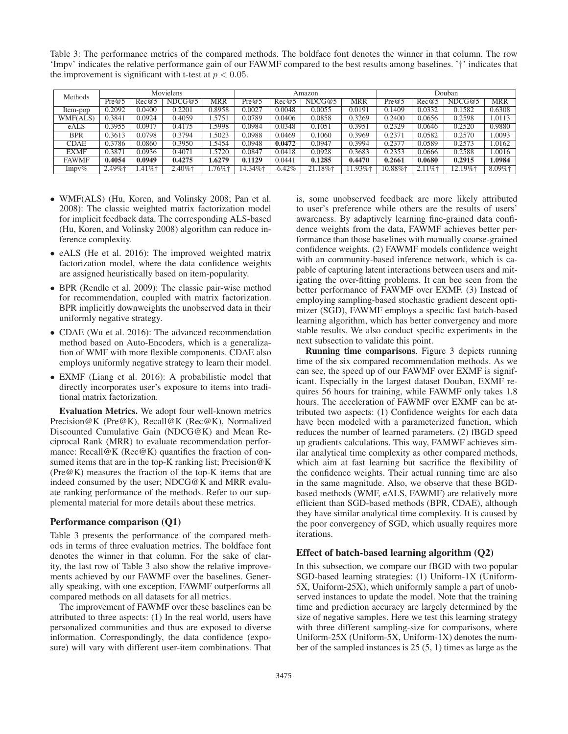Table 3: The performance metrics of the compared methods. The boldface font denotes the winner in that column. The row 'Impv' indicates the relative performance gain of our FAWMF compared to the best results among baselines. '†' indicates that the improvement is significant with t-test at  $p < 0.05$ .

| Methods      | Movielens             |        |                      | Amazon     |         |           | Douban  |            |             |        |                        |                       |
|--------------|-----------------------|--------|----------------------|------------|---------|-----------|---------|------------|-------------|--------|------------------------|-----------------------|
|              | Pre@5                 | Rec@5  | NDCG@5               | <b>MRR</b> | Pre@5   | Rec@5     | NDCG@5  | <b>MRR</b> | Pre@5       | Rec@5  | NDCG@5                 | <b>MRR</b>            |
| Item-pop     | 0.2092                | 0.0400 | 0.2201               | 0.8958     | 0.0027  | 0.0048    | 0.0055  | 0.0191     | 0.1409      | 0.0332 | 0.1582                 | 0.6308                |
| WMF(ALS)     | 0.3841                | 0.0924 | 0.4059               | .5751      | 0.0789  | 0.0406    | 0.0858  | 0.3269     | 0.2400      | 0.0656 | 0.2598                 | 1.0113                |
| eALS         | 0.3955                | 0.0917 | 0.4175               | .5998      | 0.0984  | 0.0348    | 0.1051  | 0.3951     | 0.2329      | 0.0646 | 0.2520                 | 0.9880                |
| <b>BPR</b>   | 0.3613                | 0.0798 | 0.3794               | .5023      | 0.0988  | 0.0469    | 0.1060  | 0.3969     | 0.2371      | 0.0582 | 0.2570                 | 1.0093                |
| <b>CDAE</b>  | 0.3786                | 0.0860 | 0.3950               | .5454      | 0.0948  | 0.0472    | 0.0947  | 0.3994     | 0.2377      | 0.0589 | 0.2573                 | 1.0162                |
| <b>EXMF</b>  | 0.3871                | 0.0936 | 0.4071               | .5720      | 0.0847  | 0.0418    | 0.0928  | 0.3683     | 0.2353      | 0.0666 | 0.2588                 | 1.0016                |
| <b>FAWMF</b> | 0.4054                | 0.0949 | 0.4275               | .6279      | 0.1129  | 0.0441    | 0.1285  | 0.4470     | 0.2661      | 0.0680 | 0.2915                 | 1.0984                |
| Impv $%$     | $2.\overline{49\%}$ + | .41%   | $2.40%$ <sup>+</sup> | $.76%$ †   | 14.34%† | $-6.42\%$ | 21.18%+ | 1.93%†     | $10.88\%$ † | 2.11%  | $12.19\%$ <sup>+</sup> | $8.09\%$ <sup>+</sup> |

- WMF(ALS) (Hu, Koren, and Volinsky 2008; Pan et al. 2008): The classic weighted matrix factorization model for implicit feedback data. The corresponding ALS-based (Hu, Koren, and Volinsky 2008) algorithm can reduce inference complexity.
- eALS (He et al. 2016): The improved weighted matrix factorization model, where the data confidence weights are assigned heuristically based on item-popularity.
- BPR (Rendle et al. 2009): The classic pair-wise method for recommendation, coupled with matrix factorization. BPR implicitly downweights the unobserved data in their uniformly negative strategy.
- CDAE (Wu et al. 2016): The advanced recommendation method based on Auto-Encoders, which is a generalization of WMF with more flexible components. CDAE also employs uniformly negative strategy to learn their model.
- EXMF (Liang et al. 2016): A probabilistic model that directly incorporates user's exposure to items into traditional matrix factorization.

Evaluation Metrics. We adopt four well-known metrics Precision@K (Pre@K), Recall@K (Rec@K), Normalized Discounted Cumulative Gain (NDCG@K) and Mean Reciprocal Rank (MRR) to evaluate recommendation performance: Recall@K (Rec@K) quantifies the fraction of consumed items that are in the top-K ranking list; Precision @K  $(Pre@K)$  measures the fraction of the top-K items that are indeed consumed by the user; NDCG@K and MRR evaluate ranking performance of the methods. Refer to our supplemental material for more details about these metrics.

# Performance comparison (Q1)

Table 3 presents the performance of the compared methods in terms of three evaluation metrics. The boldface font denotes the winner in that column. For the sake of clarity, the last row of Table 3 also show the relative improvements achieved by our FAWMF over the baselines. Generally speaking, with one exception, FAWMF outperforms all compared methods on all datasets for all metrics.

The improvement of FAWMF over these baselines can be attributed to three aspects: (1) In the real world, users have personalized communities and thus are exposed to diverse information. Correspondingly, the data confidence (exposure) will vary with different user-item combinations. That

is, some unobserved feedback are more likely attributed to user's preference while others are the results of users' awareness. By adaptively learning fine-grained data confidence weights from the data, FAWMF achieves better performance than those baselines with manually coarse-grained confidence weights. (2) FAWMF models confidence weight with an community-based inference network, which is capable of capturing latent interactions between users and mitigating the over-fitting problems. It can bee seen from the better performance of FAWMF over EXMF. (3) Instead of employing sampling-based stochastic gradient descent optimizer (SGD), FAWMF employs a specific fast batch-based learning algorithm, which has better convergency and more stable results. We also conduct specific experiments in the next subsection to validate this point.

Running time comparisons. Figure 3 depicts running time of the six compared recommendation methods. As we can see, the speed up of our FAWMF over EXMF is significant. Especially in the largest dataset Douban, EXMF requires 56 hours for training, while FAWMF only takes 1.8 hours. The acceleration of FAWMF over EXMF can be attributed two aspects: (1) Confidence weights for each data have been modeled with a parameterized function, which reduces the number of learned parameters. (2) fBGD speed up gradients calculations. This way, FAMWF achieves similar analytical time complexity as other compared methods, which aim at fast learning but sacrifice the flexibility of the confidence weights. Their actual running time are also in the same magnitude. Also, we observe that these BGDbased methods (WMF, eALS, FAWMF) are relatively more efficient than SGD-based methods (BPR, CDAE), although they have similar analytical time complexity. It is caused by the poor convergency of SGD, which usually requires more iterations.

#### Effect of batch-based learning algorithm (Q2)

In this subsection, we compare our fBGD with two popular SGD-based learning strategies: (1) Uniform-1X (Uniform-5X, Uniform-25X), which uniformly sample a part of unobserved instances to update the model. Note that the training time and prediction accuracy are largely determined by the size of negative samples. Here we test this learning strategy with three different sampling-size for comparisons, where Uniform-25X (Uniform-5X, Uniform-1X) denotes the number of the sampled instances is 25 (5, 1) times as large as the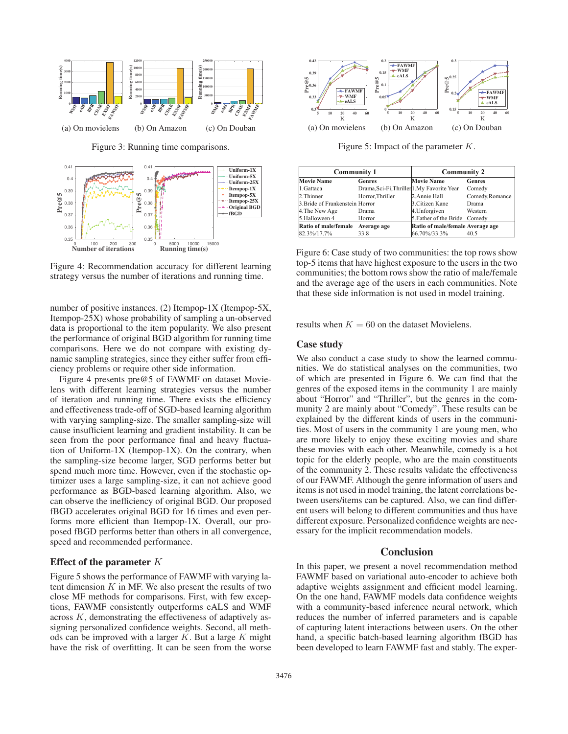

Figure 3: Running time comparisons.



Figure 4: Recommendation accuracy for different learning strategy versus the number of iterations and running time.

number of positive instances. (2) Itempop-1X (Itempop-5X, Itempop-25X) whose probability of sampling a un-observed data is proportional to the item popularity. We also present the performance of original BGD algorithm for running time comparisons. Here we do not compare with existing dynamic sampling strategies, since they either suffer from efficiency problems or require other side information.

Figure 4 presents pre@5 of FAWMF on dataset Movielens with different learning strategies versus the number of iteration and running time. There exists the efficiency and effectiveness trade-off of SGD-based learning algorithm with varying sampling-size. The smaller sampling-size will cause insufficient learning and gradient instability. It can be seen from the poor performance final and heavy fluctuation of Uniform-1X (Itempop-1X). On the contrary, when the sampling-size become larger, SGD performs better but spend much more time. However, even if the stochastic optimizer uses a large sampling-size, it can not achieve good performance as BGD-based learning algorithm. Also, we can observe the inefficiency of original BGD. Our proposed fBGD accelerates original BGD for 16 times and even performs more efficient than Itempop-1X. Overall, our proposed fBGD performs better than others in all convergence, speed and recommended performance.

#### Effect of the parameter  $K$

Figure 5 shows the performance of FAWMF with varying latent dimension  $K$  in MF. We also present the results of two close MF methods for comparisons. First, with few exceptions, FAWMF consistently outperforms eALS and WMF across K, demonstrating the effectiveness of adaptively assigning personalized confidence weights. Second, all methods can be improved with a larger  $K$ . But a large  $K$  might have the risk of overfitting. It can be seen from the worse



Figure 5: Impact of the parameter  $K$ .

| <b>Community 1</b>              |                                                         | <b>Community 2</b>               |                 |  |  |
|---------------------------------|---------------------------------------------------------|----------------------------------|-----------------|--|--|
| <b>Movie Name</b>               | Genres                                                  | <b>Movie Name</b>                | Genres          |  |  |
| 1.Gattaca                       | Drama, Sci-Fi, Thriller <sup>1</sup> . My Favorite Year |                                  | Comedy          |  |  |
| 2. Thinner                      | Horror, Thriller                                        | 2. Annie Hall                    | Comedy, Romance |  |  |
| 3. Bride of Frankenstein Horror |                                                         | 3.Citizen Kane                   | Drama           |  |  |
| 4. The New Age                  | Drama                                                   | 4. Unforgiven                    | Western         |  |  |
| 5.Halloween 4                   | Horror                                                  | 5. Father of the Bride Comedy    |                 |  |  |
| Ratio of male/female            | Average age                                             | Ratio of male/female Average age |                 |  |  |
| 82.3%/17.7%                     | 33.8                                                    | 66.70%/33.3%                     | 40.5            |  |  |

Figure 6: Case study of two communities: the top rows show top-5 items that have highest exposure to the users in the two communities; the bottom rows show the ratio of male/female and the average age of the users in each communities. Note that these side information is not used in model training.

results when  $K = 60$  on the dataset Movielens.

#### Case study

We also conduct a case study to show the learned communities. We do statistical analyses on the communities, two of which are presented in Figure 6. We can find that the genres of the exposed items in the community 1 are mainly about "Horror" and "Thriller", but the genres in the community 2 are mainly about "Comedy". These results can be explained by the different kinds of users in the communities. Most of users in the community 1 are young men, who are more likely to enjoy these exciting movies and share these movies with each other. Meanwhile, comedy is a hot topic for the elderly people, who are the main constituents of the community 2. These results validate the effectiveness of our FAWMF. Although the genre information of users and items is not used in model training, the latent correlations between users/items can be captured. Also, we can find different users will belong to different communities and thus have different exposure. Personalized confidence weights are necessary for the implicit recommendation models.

#### **Conclusion**

In this paper, we present a novel recommendation method FAWMF based on variational auto-encoder to achieve both adaptive weights assignment and efficient model learning. On the one hand, FAWMF models data confidence weights with a community-based inference neural network, which reduces the number of inferred parameters and is capable of capturing latent interactions between users. On the other hand, a specific batch-based learning algorithm fBGD has been developed to learn FAWMF fast and stably. The exper